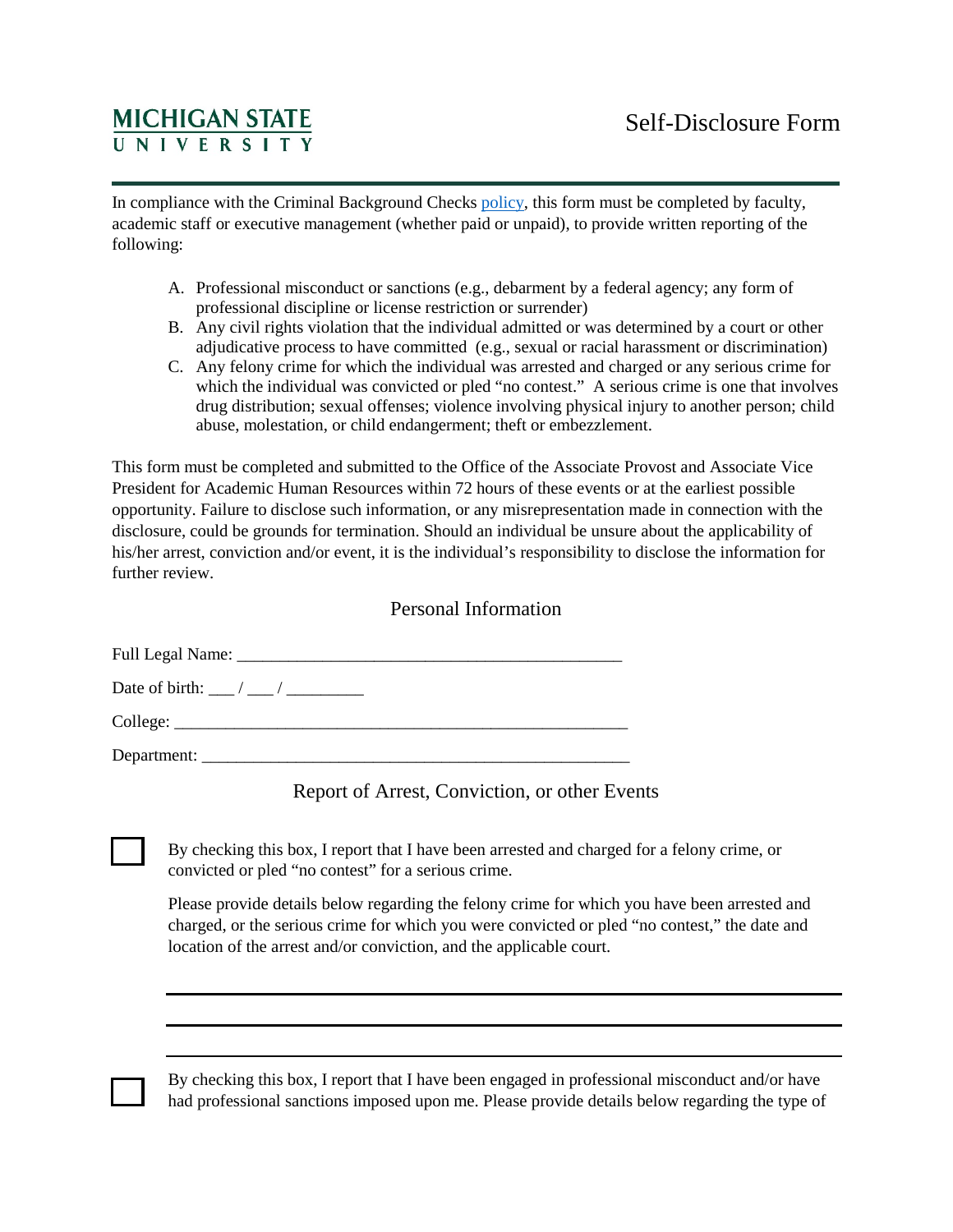## **MICHIGAN STATE**

In compliance with the Criminal Background Checks [policy,](https://www.hr.msu.edu/policies-procedures/faculty-academic-staff/fas-policies-procedures/CriminalCheck.html) this form must be completed by faculty, academic staff or executive management (whether paid or unpaid), to provide written reporting of the following:

- A. Professional misconduct or sanctions (e.g., debarment by a federal agency; any form of professional discipline or license restriction or surrender)
- B. Any civil rights violation that the individual admitted or was determined by a court or other adjudicative process to have committed (e.g., sexual or racial harassment or discrimination)
- C. Any felony crime for which the individual was arrested and charged or any serious crime for which the individual was convicted or pled "no contest." A serious crime is one that involves drug distribution; sexual offenses; violence involving physical injury to another person; child abuse, molestation, or child endangerment; theft or embezzlement.

This form must be completed and submitted to the Office of the Associate Provost and Associate Vice President for Academic Human Resources within 72 hours of these events or at the earliest possible opportunity. Failure to disclose such information, or any misrepresentation made in connection with the disclosure, could be grounds for termination. Should an individual be unsure about the applicability of his/her arrest, conviction and/or event, it is the individual's responsibility to disclose the information for further review.

## Personal Information

Full Legal Name: \_\_\_\_\_\_\_\_\_\_\_\_\_\_\_\_\_\_\_\_\_\_\_\_\_\_\_\_\_\_\_\_\_\_\_\_\_\_\_\_\_\_\_\_\_

Date of birth:  $\frac{1}{2}$  /  $\frac{1}{2}$ 

College: \_\_\_\_\_\_\_\_\_\_\_\_\_\_\_\_\_\_\_\_\_\_\_\_\_\_\_\_\_\_\_\_\_\_\_\_\_\_\_\_\_\_\_\_\_\_\_\_\_\_\_\_\_

Department:

## Report of Arrest, Conviction, or other Events

By checking this box, I report that I have been arrested and charged for a felony crime, or convicted or pled "no contest" for a serious crime.

Please provide details below regarding the felony crime for which you have been arrested and charged, or the serious crime for which you were convicted or pled "no contest," the date and location of the arrest and/or conviction, and the applicable court.

By checking this box, I report that I have been engaged in professional misconduct and/or have had professional sanctions imposed upon me. Please provide details below regarding the type of